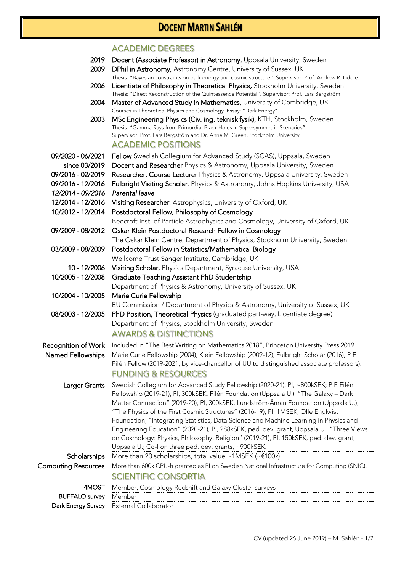## DOCENT MARTIN SAHLÉN

## ACADEMIC DEGREES

- 2019 Docent (Associate Professor) in Astronomy, Uppsala University, Sweden
- 2009 DPhil in Astronomy, Astronomy Centre, University of Sussex, UK Thesis: "Bayesian constraints on dark energy and cosmic structure". Supervisor: Prof. Andrew R. Liddle.
- 2006 Licentiate of Philosophy in Theoretical Physics, Stockholm University, Sweden Thesis: "Direct Reconstruction of the Quintessence Potential". Supervisor: Prof. Lars Bergström
- 2004 Master of Advanced Study in Mathematics, University of Cambridge, UK Courses in Theoretical Physics and Cosmology. Essay: "Dark Energy".
- 2003 MSc Engineering Physics (Civ. ing. teknisk fysik), KTH, Stockholm, Sweden Thesis: "Gamma Rays from Primordial Black Holes in Supersymmetric Scenarios" Supervisor: Prof. Lars Bergström and Dr. Anne M. Green, Stockholm University ACADEMIC POSITIONS
- 09/2020 06/2021 Fellow Swedish Collegium for Advanced Study (SCAS), Uppsala, Sweden
	- since 03/2019 Docent and Researcher Physics & Astronomy, Uppsala University, Sweden
- 09/2016 02/2019 Researcher, Course Lecturer Physics & Astronomy, Uppsala University, Sweden
- 09/2016 12/2016Fulbright Visiting Scholar, Physics & Astronomy, Johns Hopkins University, USA
- *12/2014 09/2016 Parental leave*
- 12/2014 12/2016 Visiting Researcher, Astrophysics, University of Oxford, UK
- 10/2012 12/2014 Postdoctoral Fellow, Philosophy of Cosmology
	- Beecroft Inst. of Particle Astrophysics and Cosmology, University of Oxford, UK
- 09/2009 08/2012 Oskar Klein Postdoctoral Research Fellow in Cosmology
- The Oskar Klein Centre, Department of Physics, Stockholm University, Sweden 03/2009 - 08/2009 Postdoctoral Fellow in Statistics/Mathematical Biology
	- Wellcome Trust Sanger Institute, Cambridge, UK
	- 10 12/2006 Visiting Scholar, Physics Department, Syracuse University, USA
- 10/2005 12/2008 Graduate Teaching Assistant PhD Studentship
	- Department of Physics & Astronomy, University of Sussex, UK
- 10/2004 10/2005 Marie Curie Fellowship

EU Commission / Department of Physics & Astronomy, University of Sussex, UK

- 08/2003 12/2005 PhD Position, Theoretical Physics (graduated part-way, Licentiate degree) Department of Physics, Stockholm University, Sweden AWARDS & DISTINCTIONS
- Recognition of Work Included in "The Best Writing on Mathematics 2018", Princeton University Press 2019 Named Fellowships Marie Curie Fellowship (2004), Klein Fellowship (2009-12), Fulbright Scholar (2016), P E Filén Fellow (2019-2021, by vice-chancellor of UU to distinguished associate professors). FUNDING & RESOURCES
	- Larger Grants Swedish Collegium for Advanced Study Fellowship (2020-21), PI, ~800kSEK; P E Filén Fellowship (2019-21), PI, 300kSEK, Filén Foundation (Uppsala U.); "The Galaxy – Dark Matter Connection" (2019-20), PI, 300kSEK, Lundström-Åman Foundation (Uppsala U.); "The Physics of the First Cosmic Structures" (2016-19), PI, 1MSEK, Olle Engkvist Foundation; "Integrating Statistics, Data Science and Machine Learning in Physics and Engineering Education" (2020-21), PI, 288kSEK, ped. dev. grant, Uppsala U.; "Three Views on Cosmology: Physics, Philosophy, Religion" (2019-21), PI, 150kSEK, ped. dev. grant, Uppsala U.; Co-I on three ped. dev. grants, ~900kSEK. Scholarships More than 20 scholarships, total value ~1MSEK (~€100k)

Computing Resources More than 600k CPU-h granted as PI on Swedish National Infrastructure for Computing (SNIC). SCIENTIFIC CONSORTIA

| 4MOS.                 | Cosmology Redshift and Galaxy Cluster surveys<br>Member. |
|-----------------------|----------------------------------------------------------|
| <b>BUFFALO survey</b> |                                                          |
| Dark Energy Survey    | External Collaborator                                    |